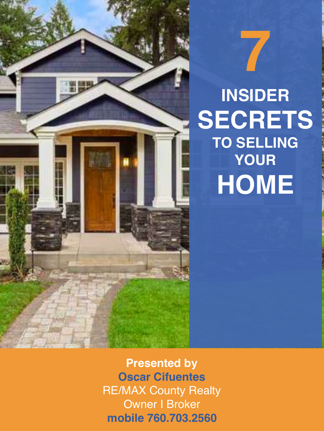# **INSIDER SECRETS TO SELLING YOUR HOME**

**7**

**Presented by Oscar Cifuentes** RE/MAX County Realty Owner I Broker **mobile 760.703.2560**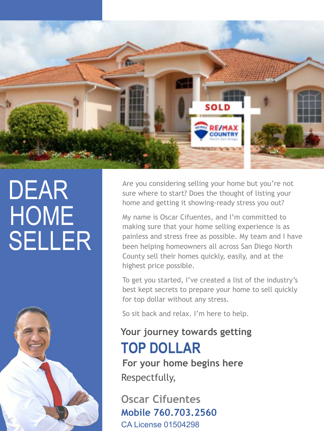

# DEAR **HOME** SELLER



Are you considering selling your home but you're not sure where to start? Does the thought of listing your home and getting it showing-ready stress you out?

My name is Oscar Cifuentes, and I'm committed to making sure that your home selling experience is as painless and stress free as possible. My team and I have been helping homeowners all across San Diego North County sell their homes quickly, easily, and at the highest price possible.

To get you started, I've created a list of the industry's best kept secrets to prepare your home to sell quickly for top dollar without any stress.

So sit back and relax. I'm here to help.

### **Your journey towards getting TOP DOLLAR**

**For your home begins here** Respectfully,

**Oscar Cifuentes Mobile 760.703.2560**  CA License 01504298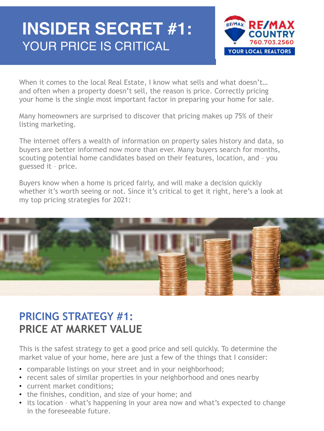## **INSIDER SECRET #1:** YOUR PRICE IS CRITICAL



When it comes to the local Real Estate, I know what sells and what doesn't... and often when a property doesn't sell, the reason is price. Correctly pricing your home is the single most important factor in preparing your home for sale.

Many homeowners are surprised to discover that pricing makes up 75% of their listing marketing.

The internet offers a wealth of information on property sales history and data, so buyers are better informed now more than ever. Many buyers search for months, scouting potential home candidates based on their features, location, and – you guessed it – price.

Buyers know when a home is priced fairly, and will make a decision quickly whether it's worth seeing or not. Since it's critical to get it right, here's a look at my top pricing strategies for 2021:



### **PRICING STRATEGY #1: PRICE AT MARKET VALUE**

This is the safest strategy to get a good price and sell quickly. To determine the market value of your home, here are just a few of the things that I consider:

- comparable listings on your street and in your neighborhood;
- recent sales of similar properties in your neighborhood and ones nearby
- current market conditions;
- the finishes, condition, and size of your home; and
- its location what's happening in your area now and what's expected to change in the foreseeable future.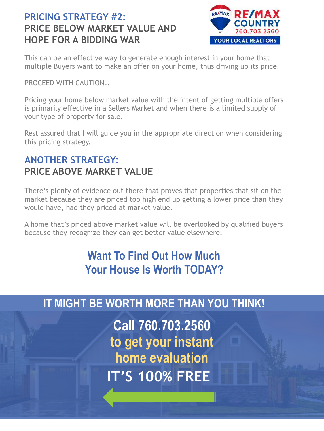### **PRICING STRATEGY #2: PRICE BELOW MARKET VALUE AND HOPE FOR A BIDDING WAR**



This can be an effective way to generate enough interest in your home that multiple Buyers want to make an offer on your home, thus driving up its price.

PROCEED WITH CAUTION…

Pricing your home below market value with the intent of getting multiple offers is primarily effective in a Sellers Market and when there is a limited supply of your type of property for sale.

Rest assured that I will guide you in the appropriate direction when considering this pricing strategy.

### **ANOTHER STRATEGY: PRICE ABOVE MARKET VALUE**

There's plenty of evidence out there that proves that properties that sit on the market because they are priced too high end up getting a lower price than they would have, had they priced at market value.

A home that's priced above market value will be overlooked by qualified buyers because they recognize they can get better value elsewhere.

### **Want To Find Out How Much Your House Is Worth TODAY?**

### **IT MIGHT BE WORTH MORE THAN YOU THINK!**

**IT'S 100% FREE Call 760.703.2560 to get your instant home evaluation**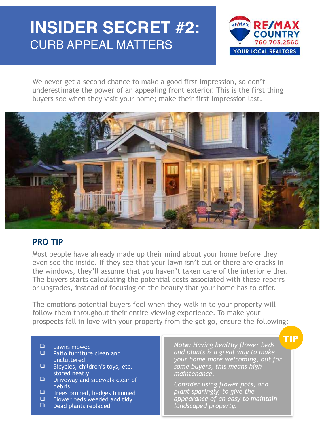## **INSIDER SECRET #2:** CURB APPEAL MATTERS



We never get a second chance to make a good first impression, so don't underestimate the power of an appealing front exterior. This is the first thing buyers see when they visit your home; make their first impression last.



#### **PRO TIP**

Most people have already made up their mind about your home before they even see the inside. If they see that your lawn isn't cut or there are cracks in the windows, they'll assume that you haven't taken care of the interior either. The buyers starts calculating the potential costs associated with these repairs or upgrades, instead of focusing on the beauty that your home has to offer.

The emotions potential buyers feel when they walk in to your property will follow them throughout their entire viewing experience. To make your prospects fall in love with your property from the get go, ensure the following:

- $\Box$  Lawns mowed
- Patio furniture clean and uncluttered
- ❑ Bicycles, children's toys, etc. stored neatly
- ❑ Driveway and sidewalk clear of debris
- $\Box$  Trees pruned, hedges trimmed<br> $\Box$  Flower beds weeded and tidy
- $\Box$  Flower beds weeded and tidy<br> $\Box$  Dead plants replaced
- Dead plants replaced

*Note: Having healthy flower beds and plants is a great way to make your home more welcoming, but for some buyers, this means high maintenance.* 

TIP

*Consider using flower pots, and plant sparingly, to give the appearance of an easy to maintain landscaped property.*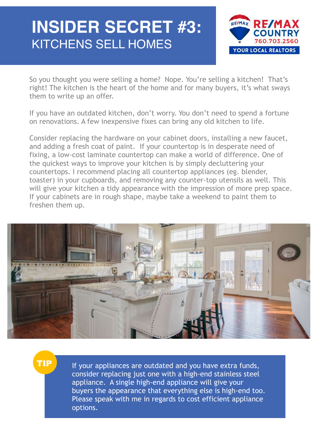## **INSIDER SECRET #3:** KITCHENS SELL HOMES



So you thought you were selling a home? Nope. You're selling a kitchen! That's right! The kitchen is the heart of the home and for many buyers, it's what sways them to write up an offer.

If you have an outdated kitchen, don't worry. You don't need to spend a fortune on renovations. A few inexpensive fixes can bring any old kitchen to life.

Consider replacing the hardware on your cabinet doors, installing a new faucet, and adding a fresh coat of paint. If your countertop is in desperate need of fixing, a low-cost laminate countertop can make a world of difference. One of the quickest ways to improve your kitchen is by simply decluttering your countertops. I recommend placing all countertop appliances (eg. blender, toaster) in your cupboards, and removing any counter-top utensils as well. This will give your kitchen a tidy appearance with the impression of more prep space. If your cabinets are in rough shape, maybe take a weekend to paint them to freshen them up.



TIP

If your appliances are outdated and you have extra funds, consider replacing just one with a high-end stainless steel appliance. A single high-end appliance will give your buyers the appearance that everything else is high-end too. Please speak with me in regards to cost efficient appliance options.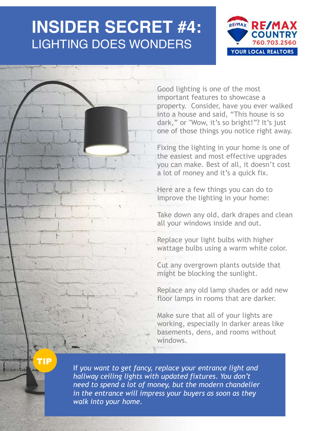### **INSIDER SECRET #4:** LIGHTING DOES WONDERS



Good lighting is one of the most important features to showcase a property. Consider, have you ever walked into a house and said, "This house is so dark," or "Wow, it's so bright!"? It's just one of those things you notice right away.

Fixing the lighting in your home is one of the easiest and most effective upgrades you can make. Best of all, it doesn't cost a lot of money and it's a quick fix.

Here are a few things you can do to improve the lighting in your home:

Take down any old, dark drapes and clean all your windows inside and out.

Replace your light bulbs with higher wattage bulbs using a warm white color.

Cut any overgrown plants outside that might be blocking the sunlight.

Replace any old lamp shades or add new floor lamps in rooms that are darker.

Make sure that all of your lights are working, especially in darker areas like basements, dens, and rooms without windows.

TIP

If *you want to get fancy, replace your entrance light and hallway ceiling lights with updated fixtures. You don't need to spend a lot of money, but the modern chandelier in the entrance will impress your buyers as soon as they walk into your home.*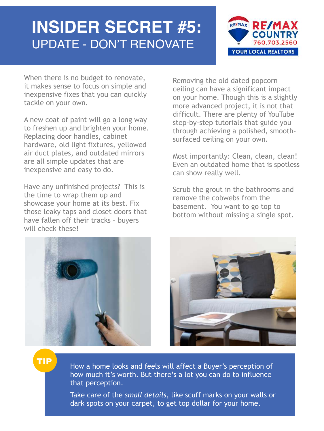### **INSIDER SECRET #5:** UPDATE - DON'T RENOVATE



When there is no budget to renovate, it makes sense to focus on simple and inexpensive fixes that you can quickly tackle on your own.

A new coat of paint will go a long way to freshen up and brighten your home. Replacing door handles, cabinet hardware, old light fixtures, yellowed air duct plates, and outdated mirrors are all simple updates that are inexpensive and easy to do.

Have any unfinished projects? This is the time to wrap them up and showcase your home at its best. Fix those leaky taps and closet doors that have fallen off their tracks – buyers will check these!

Removing the old dated popcorn ceiling can have a significant impact on your home. Though this is a slightly more advanced project, it is not that difficult. There are plenty of YouTube step-by-step tutorials that guide you through achieving a polished, smoothsurfaced ceiling on your own.

Most importantly: Clean, clean, clean! Even an outdated home that is spotless can show really well.

Scrub the grout in the bathrooms and remove the cobwebs from the basement. You want to go top to bottom without missing a single spot.





TIP

How a home looks and feels will affect a Buyer's perception of how much it's worth. But there's a lot you can do to influence that perception.

Take care of the *small details*, like scuff marks on your walls or dark spots on your carpet, to get top dollar for your home.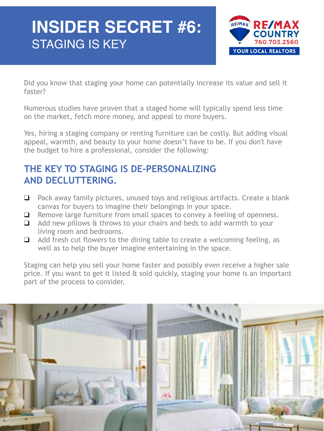## **INSIDER SECRET #6:** STAGING IS KEY



Did you know that staging your home can potentially increase its value and sell it faster?

Numerous studies have proven that a staged home will typically spend less time on the market, fetch more money, and appeal to more buyers.

Yes, hiring a staging company or renting furniture can be costly. But adding visual appeal, warmth, and beauty to your home doesn't have to be. If you don't have the budget to hire a professional, consider the following:

### **THE KEY TO STAGING IS DE-PERSONALIZING AND DECLUTTERING.**

- ❑ Pack away family pictures, unused toys and religious artifacts. Create a blank canvas for buyers to imagine their belongings in your space.
- ❑ Remove large furniture from small spaces to convey a feeling of openness.
- ❑ Add new pillows & throws to your chairs and beds to add warmth to your living room and bedrooms.
- ❑ Add fresh cut flowers to the dining table to create a welcoming feeling, as well as to help the buyer imagine entertaining in the space.

Staging can help you sell your home faster and possibly even receive a higher sale price. If you want to get it listed & sold quickly, staging your home is an important part of the process to consider.

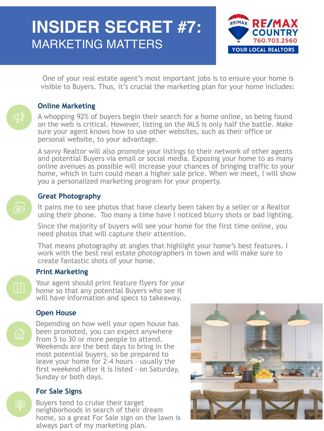# **INSIDER SECRET #7:** MARKETING MATTERS



One of your real estate agent's most important jobs is to ensure your home is visible to Buyers. Thus, it's crucial the marketing plan for your home includes:

#### **Online Marketing**

A whopping 92% of buyers begin their search for a home online, so being found on the web is critical. However, listing on the MLS is only half the battle. Make sure your agent knows how to use other websites, such as their office or personal website, to your advantage.

A savvy Realtor will also promote your listings to their network of other agents and potential Buyers via email or social media. Exposing your home to as many online avenues as possible will increase your chances of bringing traffic to your home, which in turn could mean a higher sale price. When we meet, I will show you a personalized marketing program for your property.

#### **Great Photography**

It pains me to see photos that have clearly been taken by a seller or a Realtor using their phone. Too many a time have I noticed blurry shots or bad lighting.

Since the majority of buyers will see your home for the first time online, you need photos that will capture their attention.

That means photography at angles that highlight your home's best features. I work with the best real estate photographers in town and will make sure to create fantastic shots of your home.

#### **Print Marketing**

Your agent should print feature flyers for your home so that any potential Buyers who see it will have information and specs to takeaway.

#### **Open House**

E

لوب<br>ان

Depending on how well your open house has been promoted, you can expect anywhere from 5 to 30 or more people to attend. Weekends are the best days to bring in the most potential buyers, so be prepared to leave your home for 2-4 hours – usually the first weekend after it is listed - on Saturday, Sunday or both days.

#### **For Sale Signs**

Buyers tend to cruise their target neighborhoods in search of their dream home, so a great For Sale sign on the lawn is always part of my marketing plan.

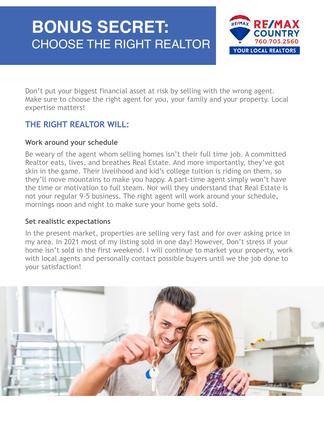## **BONUS SECRET:** CHOOSE THE RIGHT REALTOR



Don't put your biggest financial asset at risk by selling with the wrong agent. Make sure to choose the right agent for you, your family and your property. Local expertise matters!

### **THE RIGHT REALTOR WILL:**

#### **Work around your schedule**

Be weary of the agent whom selling homes isn't their full time job. A committed Realtor eats, lives, and breathes Real Estate. And more importantly, they've got skin in the game. Their livelihood and kid's college tuition is riding on them, so they'll move mountains to make you happy. A part-time agent simply won't have the time or motivation to full steam. Nor will they understand that Real Estate is not your regular 9-5 business. The right agent will work around your schedule, mornings noon and night to make sure your home gets sold.

#### **Set realistic expectations**

In the present market, properties are selling very fast and for over asking price in my area. In 2021 most of my listing sold in one day! However, Don't stress if your home isn't sold in the first weekend. I will continue to market your property, work with local agents and personally contact possible buyers until we the job done to your satisfaction!